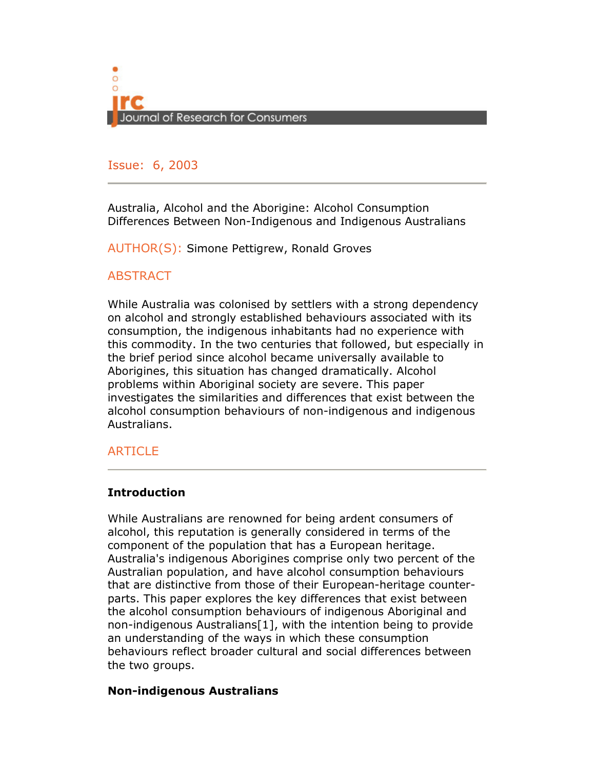

## Issue: 6, 2005 Issue: 6, 2003

Australia, Alcohol and the Aborigine: Alcohol Consumption Differences Between Non-Indigenous and Indigenous Australians

AUTHOR(S): Simone Pettigrew, Ronald Groves

## **ABSTRACT**

While Australia was colonised by settlers with a strong dependency on alcohol and strongly established behaviours associated with its consumption, the indigenous inhabitants had no experience with this commodity. In the two centuries that followed, but especially in the brief period since alcohol became universally available to Aborigines, this situation has changed dramatically. Alcohol problems within Aboriginal society are severe. This paper investigates the similarities and differences that exist between the alcohol consumption behaviours of non-indigenous and indigenous Australians.

## ARTICLE

## **Introduction**

While Australians are renowned for being ardent consumers of alcohol, this reputation is generally considered in terms of the component of the population that has a European heritage. Australia's indigenous Aborigines comprise only two percent of the Australian population, and have alcohol consumption behaviours that are distinctive from those of their European-heritage counterparts. This paper explores the key differences that exist between the alcohol consumption behaviours of indigenous Aboriginal and non-indigenous Australians[1], with the intention being to provide an understanding of the ways in which these consumption behaviours reflect broader cultural and social differences between the two groups.

#### Non-indigenous Australians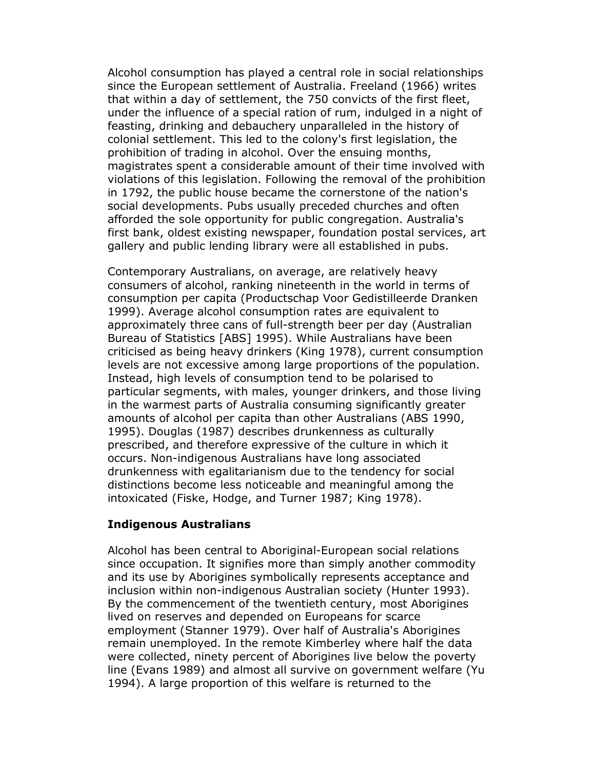Alcohol consumption has played a central role in social relationships since the European settlement of Australia. Freeland (1966) writes that within a day of settlement, the 750 convicts of the first fleet, under the influence of a special ration of rum, indulged in a night of feasting, drinking and debauchery unparalleled in the history of colonial settlement. This led to the colony's first legislation, the prohibition of trading in alcohol. Over the ensuing months, magistrates spent a considerable amount of their time involved with violations of this legislation. Following the removal of the prohibition in 1792, the public house became the cornerstone of the nation's social developments. Pubs usually preceded churches and often afforded the sole opportunity for public congregation. Australia's first bank, oldest existing newspaper, foundation postal services, art gallery and public lending library were all established in pubs.

Contemporary Australians, on average, are relatively heavy consumers of alcohol, ranking nineteenth in the world in terms of consumption per capita (Productschap Voor Gedistilleerde Dranken 1999). Average alcohol consumption rates are equivalent to approximately three cans of full-strength beer per day (Australian Bureau of Statistics [ABS] 1995). While Australians have been criticised as being heavy drinkers (King 1978), current consumption levels are not excessive among large proportions of the population. Instead, high levels of consumption tend to be polarised to particular segments, with males, younger drinkers, and those living in the warmest parts of Australia consuming significantly greater amounts of alcohol per capita than other Australians (ABS 1990, 1995). Douglas (1987) describes drunkenness as culturally prescribed, and therefore expressive of the culture in which it occurs. Non-indigenous Australians have long associated drunkenness with egalitarianism due to the tendency for social distinctions become less noticeable and meaningful among the intoxicated (Fiske, Hodge, and Turner 1987; King 1978).

#### Indigenous Australians

Alcohol has been central to Aboriginal-European social relations since occupation. It signifies more than simply another commodity and its use by Aborigines symbolically represents acceptance and inclusion within non-indigenous Australian society (Hunter 1993). By the commencement of the twentieth century, most Aborigines lived on reserves and depended on Europeans for scarce employment (Stanner 1979). Over half of Australia's Aborigines remain unemployed. In the remote Kimberley where half the data were collected, ninety percent of Aborigines live below the poverty line (Evans 1989) and almost all survive on government welfare (Yu 1994). A large proportion of this welfare is returned to the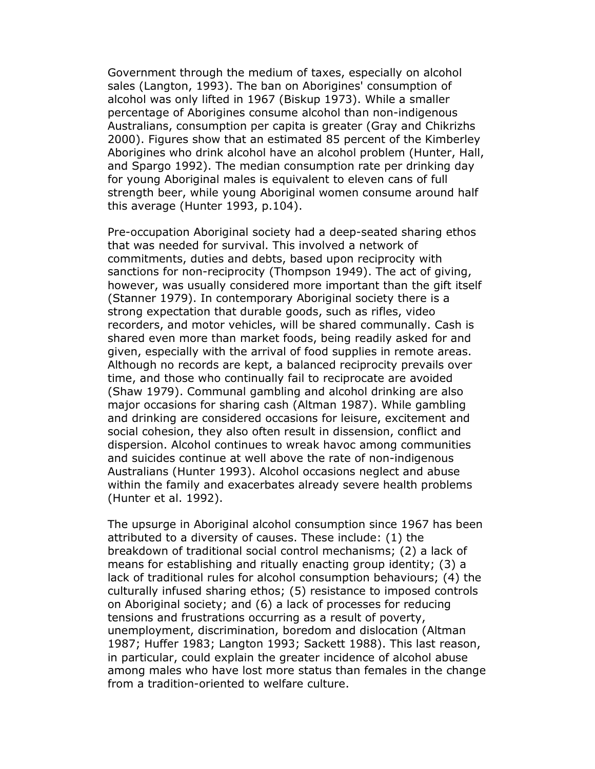Government through the medium of taxes, especially on alcohol sales (Langton, 1993). The ban on Aborigines' consumption of alcohol was only lifted in 1967 (Biskup 1973). While a smaller percentage of Aborigines consume alcohol than non-indigenous Australians, consumption per capita is greater (Gray and Chikrizhs 2000). Figures show that an estimated 85 percent of the Kimberley Aborigines who drink alcohol have an alcohol problem (Hunter, Hall, and Spargo 1992). The median consumption rate per drinking day for young Aboriginal males is equivalent to eleven cans of full strength beer, while young Aboriginal women consume around half this average (Hunter 1993, p.104).

Pre-occupation Aboriginal society had a deep-seated sharing ethos that was needed for survival. This involved a network of commitments, duties and debts, based upon reciprocity with sanctions for non-reciprocity (Thompson 1949). The act of giving, however, was usually considered more important than the gift itself (Stanner 1979). In contemporary Aboriginal society there is a strong expectation that durable goods, such as rifles, video recorders, and motor vehicles, will be shared communally. Cash is shared even more than market foods, being readily asked for and given, especially with the arrival of food supplies in remote areas. Although no records are kept, a balanced reciprocity prevails over time, and those who continually fail to reciprocate are avoided (Shaw 1979). Communal gambling and alcohol drinking are also major occasions for sharing cash (Altman 1987). While gambling and drinking are considered occasions for leisure, excitement and social cohesion, they also often result in dissension, conflict and dispersion. Alcohol continues to wreak havoc among communities and suicides continue at well above the rate of non-indigenous Australians (Hunter 1993). Alcohol occasions neglect and abuse within the family and exacerbates already severe health problems (Hunter et al. 1992).

The upsurge in Aboriginal alcohol consumption since 1967 has been attributed to a diversity of causes. These include: (1) the breakdown of traditional social control mechanisms; (2) a lack of means for establishing and ritually enacting group identity; (3) a lack of traditional rules for alcohol consumption behaviours; (4) the culturally infused sharing ethos; (5) resistance to imposed controls on Aboriginal society; and (6) a lack of processes for reducing tensions and frustrations occurring as a result of poverty, unemployment, discrimination, boredom and dislocation (Altman 1987; Huffer 1983; Langton 1993; Sackett 1988). This last reason, in particular, could explain the greater incidence of alcohol abuse among males who have lost more status than females in the change from a tradition-oriented to welfare culture.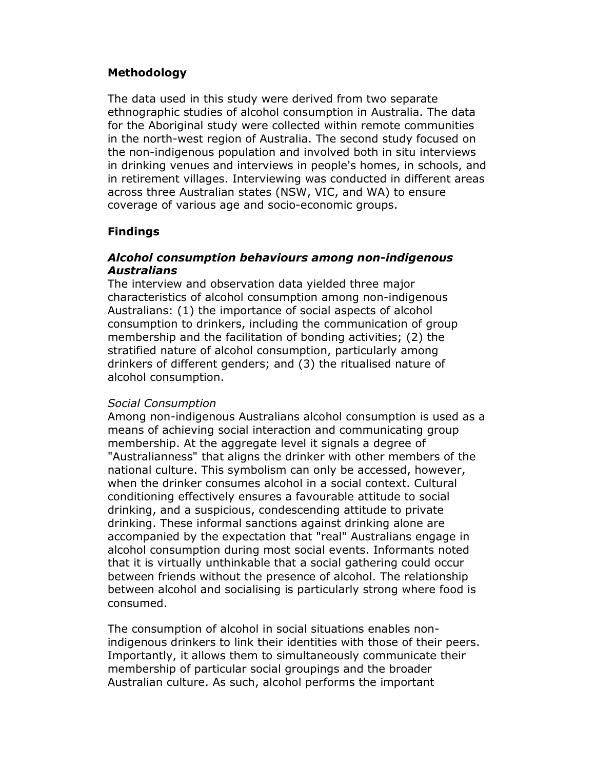## Methodology

The data used in this study were derived from two separate ethnographic studies of alcohol consumption in Australia. The data for the Aboriginal study were collected within remote communities in the north-west region of Australia. The second study focused on the non-indigenous population and involved both in situ interviews in drinking venues and interviews in people's homes, in schools, and in retirement villages. Interviewing was conducted in different areas across three Australian states (NSW, VIC, and WA) to ensure coverage of various age and socio-economic groups.

# Findings

## Alcohol consumption behaviours among non-indigenous Australians

The interview and observation data yielded three major characteristics of alcohol consumption among non-indigenous Australians: (1) the importance of social aspects of alcohol consumption to drinkers, including the communication of group membership and the facilitation of bonding activities; (2) the stratified nature of alcohol consumption, particularly among drinkers of different genders; and (3) the ritualised nature of alcohol consumption.

## Social Consumption

Among non-indigenous Australians alcohol consumption is used as a means of achieving social interaction and communicating group membership. At the aggregate level it signals a degree of "Australianness" that aligns the drinker with other members of the national culture. This symbolism can only be accessed, however, when the drinker consumes alcohol in a social context. Cultural conditioning effectively ensures a favourable attitude to social drinking, and a suspicious, condescending attitude to private drinking. These informal sanctions against drinking alone are accompanied by the expectation that "real" Australians engage in alcohol consumption during most social events. Informants noted that it is virtually unthinkable that a social gathering could occur between friends without the presence of alcohol. The relationship between alcohol and socialising is particularly strong where food is consumed.

The consumption of alcohol in social situations enables nonindigenous drinkers to link their identities with those of their peers. Importantly, it allows them to simultaneously communicate their membership of particular social groupings and the broader Australian culture. As such, alcohol performs the important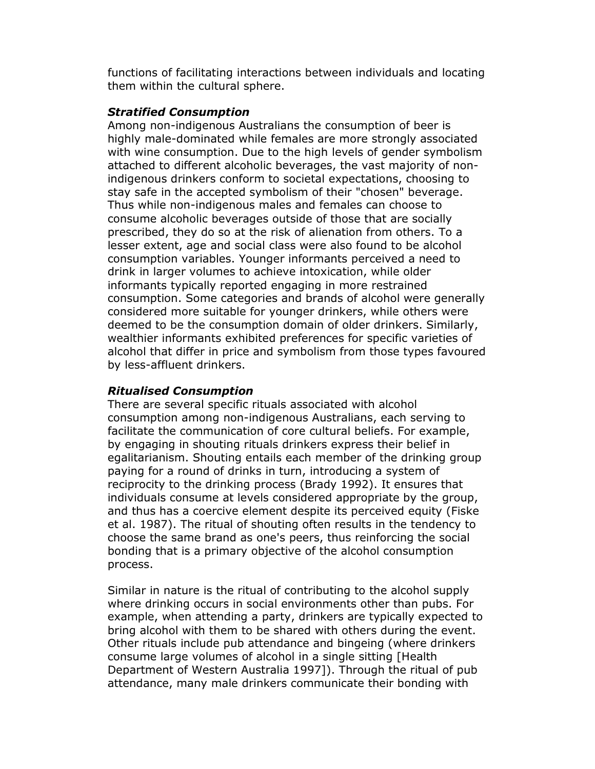functions of facilitating interactions between individuals and locating them within the cultural sphere.

## Stratified Consumption

Among non-indigenous Australians the consumption of beer is highly male-dominated while females are more strongly associated with wine consumption. Due to the high levels of gender symbolism attached to different alcoholic beverages, the vast majority of nonindigenous drinkers conform to societal expectations, choosing to stay safe in the accepted symbolism of their "chosen" beverage. Thus while non-indigenous males and females can choose to consume alcoholic beverages outside of those that are socially prescribed, they do so at the risk of alienation from others. To a lesser extent, age and social class were also found to be alcohol consumption variables. Younger informants perceived a need to drink in larger volumes to achieve intoxication, while older informants typically reported engaging in more restrained consumption. Some categories and brands of alcohol were generally considered more suitable for younger drinkers, while others were deemed to be the consumption domain of older drinkers. Similarly, wealthier informants exhibited preferences for specific varieties of alcohol that differ in price and symbolism from those types favoured by less-affluent drinkers.

## Ritualised Consumption

There are several specific rituals associated with alcohol consumption among non-indigenous Australians, each serving to facilitate the communication of core cultural beliefs. For example, by engaging in shouting rituals drinkers express their belief in egalitarianism. Shouting entails each member of the drinking group paying for a round of drinks in turn, introducing a system of reciprocity to the drinking process (Brady 1992). It ensures that individuals consume at levels considered appropriate by the group, and thus has a coercive element despite its perceived equity (Fiske et al. 1987). The ritual of shouting often results in the tendency to choose the same brand as one's peers, thus reinforcing the social bonding that is a primary objective of the alcohol consumption process.

Similar in nature is the ritual of contributing to the alcohol supply where drinking occurs in social environments other than pubs. For example, when attending a party, drinkers are typically expected to bring alcohol with them to be shared with others during the event. Other rituals include pub attendance and bingeing (where drinkers consume large volumes of alcohol in a single sitting [Health Department of Western Australia 1997]). Through the ritual of pub attendance, many male drinkers communicate their bonding with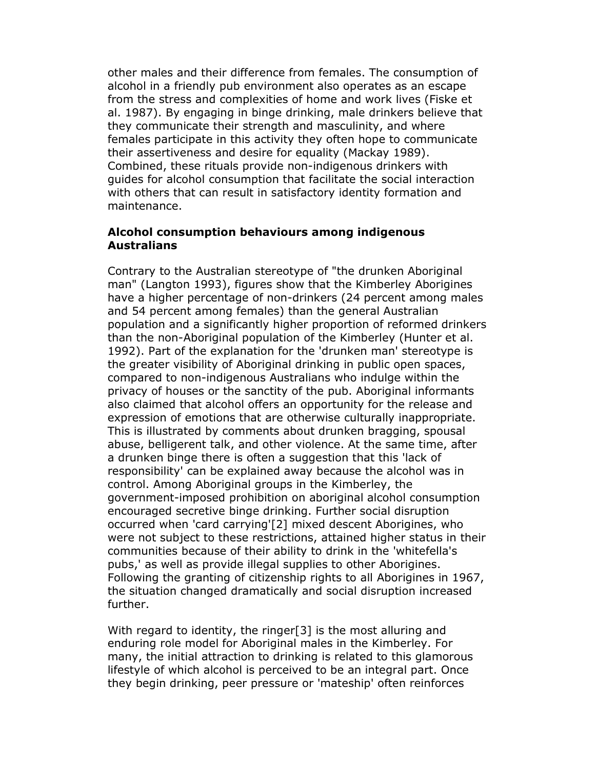other males and their difference from females. The consumption of alcohol in a friendly pub environment also operates as an escape from the stress and complexities of home and work lives (Fiske et al. 1987). By engaging in binge drinking, male drinkers believe that they communicate their strength and masculinity, and where females participate in this activity they often hope to communicate their assertiveness and desire for equality (Mackay 1989). Combined, these rituals provide non-indigenous drinkers with guides for alcohol consumption that facilitate the social interaction with others that can result in satisfactory identity formation and maintenance.

#### Alcohol consumption behaviours among indigenous Australians

Contrary to the Australian stereotype of "the drunken Aboriginal man" (Langton 1993), figures show that the Kimberley Aborigines have a higher percentage of non-drinkers (24 percent among males and 54 percent among females) than the general Australian population and a significantly higher proportion of reformed drinkers than the non-Aboriginal population of the Kimberley (Hunter et al. 1992). Part of the explanation for the 'drunken man' stereotype is the greater visibility of Aboriginal drinking in public open spaces, compared to non-indigenous Australians who indulge within the privacy of houses or the sanctity of the pub. Aboriginal informants also claimed that alcohol offers an opportunity for the release and expression of emotions that are otherwise culturally inappropriate. This is illustrated by comments about drunken bragging, spousal abuse, belligerent talk, and other violence. At the same time, after a drunken binge there is often a suggestion that this 'lack of responsibility' can be explained away because the alcohol was in control. Among Aboriginal groups in the Kimberley, the government-imposed prohibition on aboriginal alcohol consumption encouraged secretive binge drinking. Further social disruption occurred when 'card carrying'[2] mixed descent Aborigines, who were not subject to these restrictions, attained higher status in their communities because of their ability to drink in the 'whitefella's pubs,' as well as provide illegal supplies to other Aborigines. Following the granting of citizenship rights to all Aborigines in 1967, the situation changed dramatically and social disruption increased further.

With regard to identity, the ringer<sup>[3]</sup> is the most alluring and enduring role model for Aboriginal males in the Kimberley. For many, the initial attraction to drinking is related to this glamorous lifestyle of which alcohol is perceived to be an integral part. Once they begin drinking, peer pressure or 'mateship' often reinforces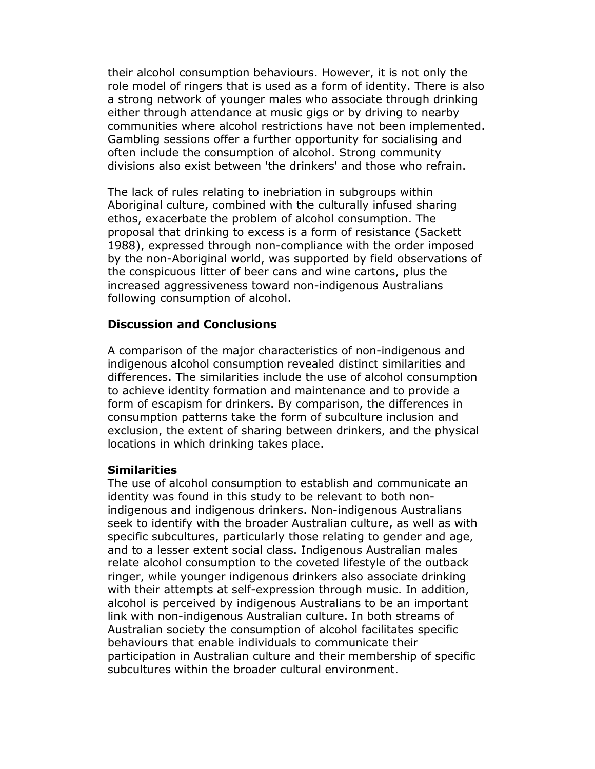their alcohol consumption behaviours. However, it is not only the role model of ringers that is used as a form of identity. There is also a strong network of younger males who associate through drinking either through attendance at music gigs or by driving to nearby communities where alcohol restrictions have not been implemented. Gambling sessions offer a further opportunity for socialising and often include the consumption of alcohol. Strong community divisions also exist between 'the drinkers' and those who refrain.

The lack of rules relating to inebriation in subgroups within Aboriginal culture, combined with the culturally infused sharing ethos, exacerbate the problem of alcohol consumption. The proposal that drinking to excess is a form of resistance (Sackett 1988), expressed through non-compliance with the order imposed by the non-Aboriginal world, was supported by field observations of the conspicuous litter of beer cans and wine cartons, plus the increased aggressiveness toward non-indigenous Australians following consumption of alcohol.

#### Discussion and Conclusions

A comparison of the major characteristics of non-indigenous and indigenous alcohol consumption revealed distinct similarities and differences. The similarities include the use of alcohol consumption to achieve identity formation and maintenance and to provide a form of escapism for drinkers. By comparison, the differences in consumption patterns take the form of subculture inclusion and exclusion, the extent of sharing between drinkers, and the physical locations in which drinking takes place.

#### Similarities

The use of alcohol consumption to establish and communicate an identity was found in this study to be relevant to both nonindigenous and indigenous drinkers. Non-indigenous Australians seek to identify with the broader Australian culture, as well as with specific subcultures, particularly those relating to gender and age, and to a lesser extent social class. Indigenous Australian males relate alcohol consumption to the coveted lifestyle of the outback ringer, while younger indigenous drinkers also associate drinking with their attempts at self-expression through music. In addition, alcohol is perceived by indigenous Australians to be an important link with non-indigenous Australian culture. In both streams of Australian society the consumption of alcohol facilitates specific behaviours that enable individuals to communicate their participation in Australian culture and their membership of specific subcultures within the broader cultural environment.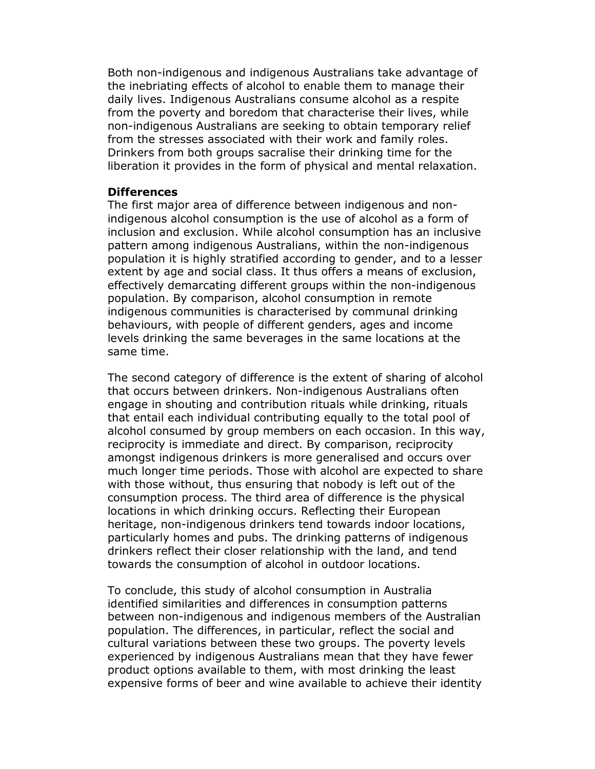Both non-indigenous and indigenous Australians take advantage of the inebriating effects of alcohol to enable them to manage their daily lives. Indigenous Australians consume alcohol as a respite from the poverty and boredom that characterise their lives, while non-indigenous Australians are seeking to obtain temporary relief from the stresses associated with their work and family roles. Drinkers from both groups sacralise their drinking time for the liberation it provides in the form of physical and mental relaxation.

#### **Differences**

The first major area of difference between indigenous and nonindigenous alcohol consumption is the use of alcohol as a form of inclusion and exclusion. While alcohol consumption has an inclusive pattern among indigenous Australians, within the non-indigenous population it is highly stratified according to gender, and to a lesser extent by age and social class. It thus offers a means of exclusion, effectively demarcating different groups within the non-indigenous population. By comparison, alcohol consumption in remote indigenous communities is characterised by communal drinking behaviours, with people of different genders, ages and income levels drinking the same beverages in the same locations at the same time.

The second category of difference is the extent of sharing of alcohol that occurs between drinkers. Non-indigenous Australians often engage in shouting and contribution rituals while drinking, rituals that entail each individual contributing equally to the total pool of alcohol consumed by group members on each occasion. In this way, reciprocity is immediate and direct. By comparison, reciprocity amongst indigenous drinkers is more generalised and occurs over much longer time periods. Those with alcohol are expected to share with those without, thus ensuring that nobody is left out of the consumption process. The third area of difference is the physical locations in which drinking occurs. Reflecting their European heritage, non-indigenous drinkers tend towards indoor locations, particularly homes and pubs. The drinking patterns of indigenous drinkers reflect their closer relationship with the land, and tend towards the consumption of alcohol in outdoor locations.

To conclude, this study of alcohol consumption in Australia identified similarities and differences in consumption patterns between non-indigenous and indigenous members of the Australian population. The differences, in particular, reflect the social and cultural variations between these two groups. The poverty levels experienced by indigenous Australians mean that they have fewer product options available to them, with most drinking the least expensive forms of beer and wine available to achieve their identity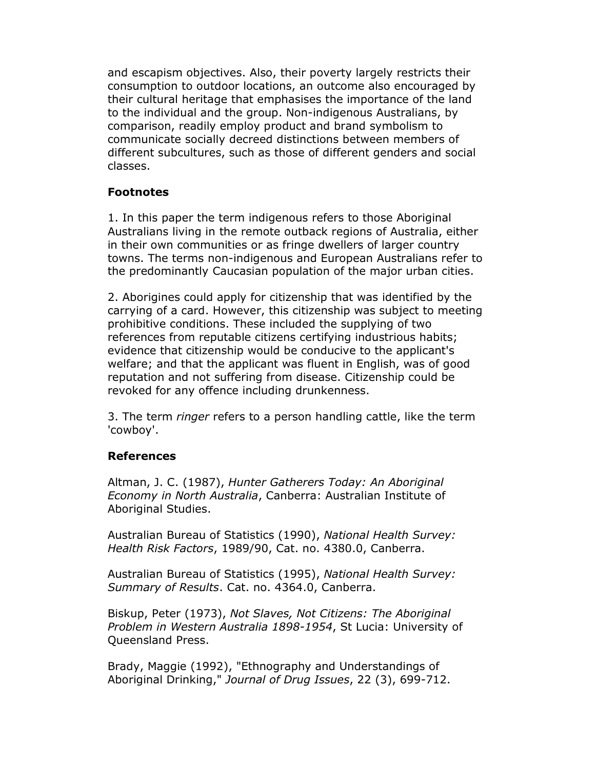and escapism objectives. Also, their poverty largely restricts their consumption to outdoor locations, an outcome also encouraged by their cultural heritage that emphasises the importance of the land to the individual and the group. Non-indigenous Australians, by comparison, readily employ product and brand symbolism to communicate socially decreed distinctions between members of different subcultures, such as those of different genders and social classes.

# Footnotes

1. In this paper the term indigenous refers to those Aboriginal Australians living in the remote outback regions of Australia, either in their own communities or as fringe dwellers of larger country towns. The terms non-indigenous and European Australians refer to the predominantly Caucasian population of the major urban cities.

2. Aborigines could apply for citizenship that was identified by the carrying of a card. However, this citizenship was subject to meeting prohibitive conditions. These included the supplying of two references from reputable citizens certifying industrious habits; evidence that citizenship would be conducive to the applicant's welfare; and that the applicant was fluent in English, was of good reputation and not suffering from disease. Citizenship could be revoked for any offence including drunkenness.

3. The term *ringer* refers to a person handling cattle, like the term 'cowboy'.

# References

Altman, J. C. (1987), Hunter Gatherers Today: An Aboriginal Economy in North Australia, Canberra: Australian Institute of Aboriginal Studies.

Australian Bureau of Statistics (1990), National Health Survey: Health Risk Factors, 1989/90, Cat. no. 4380.0, Canberra.

Australian Bureau of Statistics (1995), National Health Survey: Summary of Results. Cat. no. 4364.0, Canberra.

Biskup, Peter (1973), Not Slaves, Not Citizens: The Aboriginal Problem in Western Australia 1898-1954, St Lucia: University of Queensland Press.

Brady, Maggie (1992), "Ethnography and Understandings of Aboriginal Drinking," Journal of Drug Issues, 22 (3), 699-712.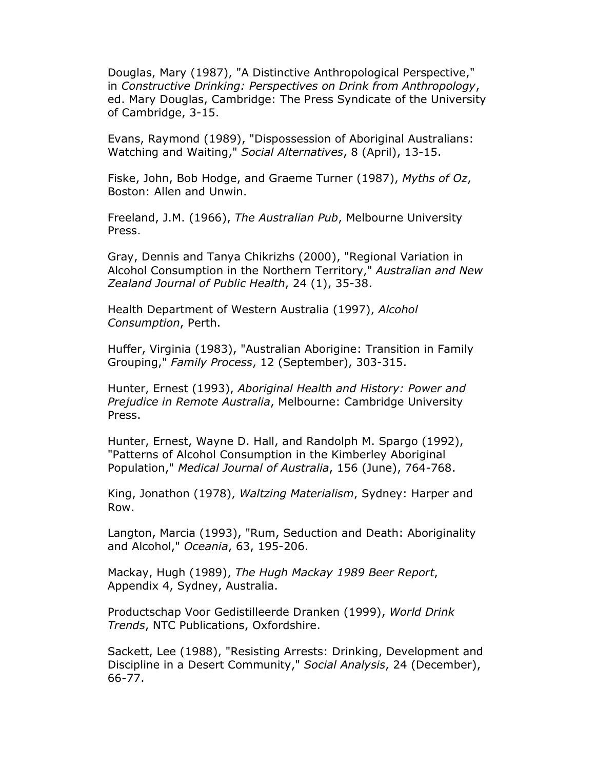Douglas, Mary (1987), "A Distinctive Anthropological Perspective," in Constructive Drinking: Perspectives on Drink from Anthropology, ed. Mary Douglas, Cambridge: The Press Syndicate of the University of Cambridge, 3-15.

Evans, Raymond (1989), "Dispossession of Aboriginal Australians: Watching and Waiting," Social Alternatives, 8 (April), 13-15.

Fiske, John, Bob Hodge, and Graeme Turner (1987), Myths of Oz, Boston: Allen and Unwin.

Freeland, J.M. (1966), The Australian Pub, Melbourne University Press.

Gray, Dennis and Tanya Chikrizhs (2000), "Regional Variation in Alcohol Consumption in the Northern Territory," Australian and New Zealand Journal of Public Health, 24 (1), 35-38.

Health Department of Western Australia (1997), Alcohol Consumption, Perth.

Huffer, Virginia (1983), "Australian Aborigine: Transition in Family Grouping," Family Process, 12 (September), 303-315.

Hunter, Ernest (1993), Aboriginal Health and History: Power and Prejudice in Remote Australia, Melbourne: Cambridge University Press.

Hunter, Ernest, Wayne D. Hall, and Randolph M. Spargo (1992), "Patterns of Alcohol Consumption in the Kimberley Aboriginal Population," Medical Journal of Australia, 156 (June), 764-768.

King, Jonathon (1978), Waltzing Materialism, Sydney: Harper and Row.

Langton, Marcia (1993), "Rum, Seduction and Death: Aboriginality and Alcohol," Oceania, 63, 195-206.

Mackay, Hugh (1989), The Hugh Mackay 1989 Beer Report, Appendix 4, Sydney, Australia.

Productschap Voor Gedistilleerde Dranken (1999), World Drink Trends, NTC Publications, Oxfordshire.

Sackett, Lee (1988), "Resisting Arrests: Drinking, Development and Discipline in a Desert Community," Social Analysis, 24 (December), 66-77.